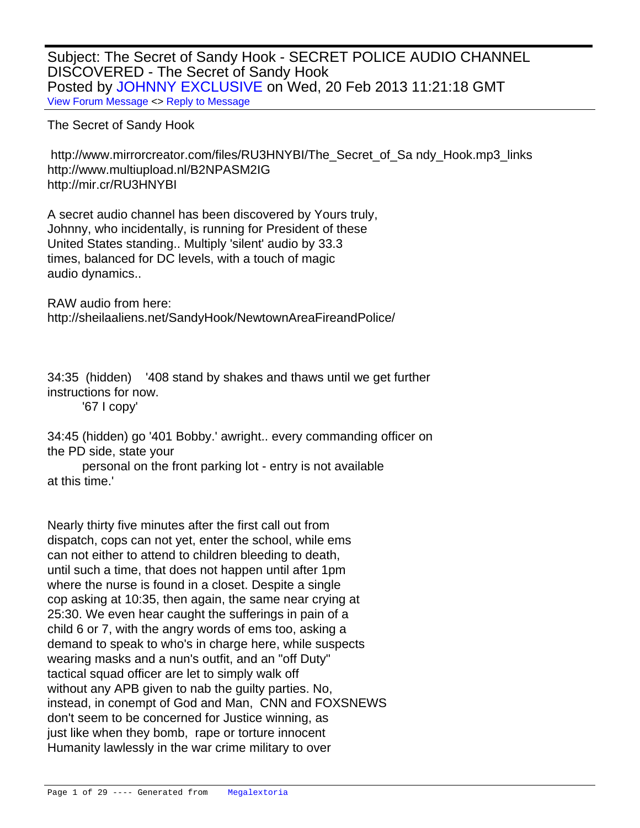Subject: The Secret of Sandy Hook - SECRET POLICE AUDIO CHANNEL DISCOVERED - The Secret of Sandy Hook Posted by [JOHNNY EXCLUSIVE](http://www.megalextoria.com/forum2/index.php?t=usrinfo&id=1919) on Wed, 20 Feb 2013 11:21:18 GMT [View Forum Message](http://www.megalextoria.com/forum2/index.php?t=rview&th=14983&goto=39474#msg_39474) <> [Reply to Message](http://www.megalextoria.com/forum2/index.php?t=post&reply_to=39474)

The Secret of Sandy Hook

 http://www.mirrorcreator.com/files/RU3HNYBI/The\_Secret\_of\_Sa ndy\_Hook.mp3\_links http://www.multiupload.nl/B2NPASM2IG http://mir.cr/RU3HNYBI

A secret audio channel has been discovered by Yours truly, Johnny, who incidentally, is running for President of these United States standing.. Multiply 'silent' audio by 33.3 times, balanced for DC levels, with a touch of magic audio dynamics..

RAW audio from here: http://sheilaaliens.net/SandyHook/NewtownAreaFireandPolice/

34:35 (hidden) '408 stand by shakes and thaws until we get further instructions for now. '67 I copy'

34:45 (hidden) go '401 Bobby.' awright.. every commanding officer on the PD side, state your

 personal on the front parking lot - entry is not available at this time.'

Nearly thirty five minutes after the first call out from dispatch, cops can not yet, enter the school, while ems can not either to attend to children bleeding to death, until such a time, that does not happen until after 1pm where the nurse is found in a closet. Despite a single cop asking at 10:35, then again, the same near crying at 25:30. We even hear caught the sufferings in pain of a child 6 or 7, with the angry words of ems too, asking a demand to speak to who's in charge here, while suspects wearing masks and a nun's outfit, and an "off Duty" tactical squad officer are let to simply walk off without any APB given to nab the guilty parties. No, instead, in conempt of God and Man, CNN and FOXSNEWS don't seem to be concerned for Justice winning, as just like when they bomb, rape or torture innocent Humanity lawlessly in the war crime military to over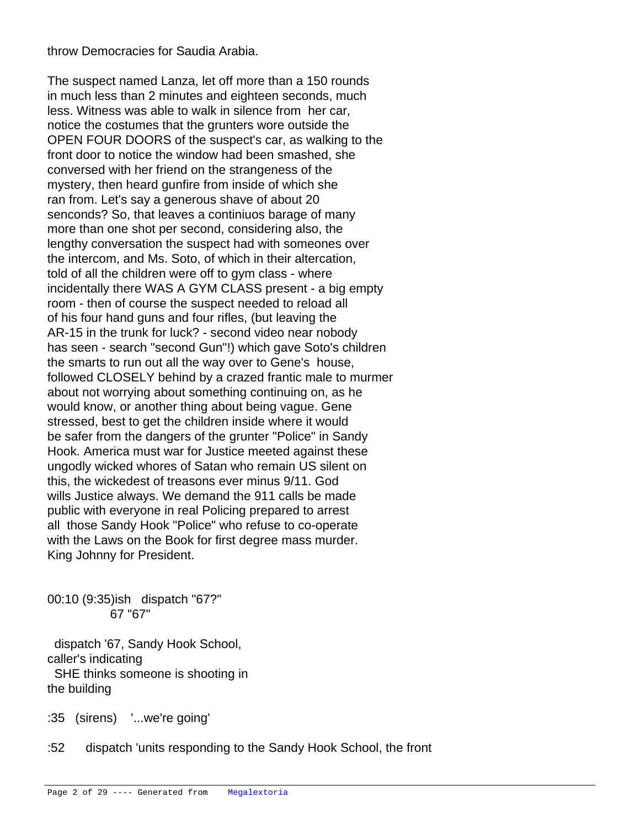throw Democracies for Saudia Arabia.

The suspect named Lanza, let off more than a 150 rounds in much less than 2 minutes and eighteen seconds, much less. Witness was able to walk in silence from her car, notice the costumes that the grunters wore outside the OPEN FOUR DOORS of the suspect's car, as walking to the front door to notice the window had been smashed, she conversed with her friend on the strangeness of the mystery, then heard gunfire from inside of which she ran from. Let's say a generous shave of about 20 senconds? So, that leaves a continiuos barage of many more than one shot per second, considering also, the lengthy conversation the suspect had with someones over the intercom, and Ms. Soto, of which in their altercation, told of all the children were off to gym class - where incidentally there WAS A GYM CLASS present - a big empty room - then of course the suspect needed to reload all of his four hand guns and four rifles, (but leaving the AR-15 in the trunk for luck? - second video near nobody has seen - search "second Gun"!) which gave Soto's children the smarts to run out all the way over to Gene's house, followed CLOSELY behind by a crazed frantic male to murmer about not worrying about something continuing on, as he would know, or another thing about being vague. Gene stressed, best to get the children inside where it would be safer from the dangers of the grunter "Police" in Sandy Hook. America must war for Justice meeted against these ungodly wicked whores of Satan who remain US silent on this, the wickedest of treasons ever minus 9/11. God wills Justice always. We demand the 911 calls be made public with everyone in real Policing prepared to arrest all those Sandy Hook "Police" who refuse to co-operate with the Laws on the Book for first degree mass murder. King Johnny for President.

00:10 (9:35)ish dispatch "67?" 67 "67"

 dispatch '67, Sandy Hook School, caller's indicating SHE thinks someone is shooting in the building

:35 (sirens) '...we're going'

:52 dispatch 'units responding to the Sandy Hook School, the front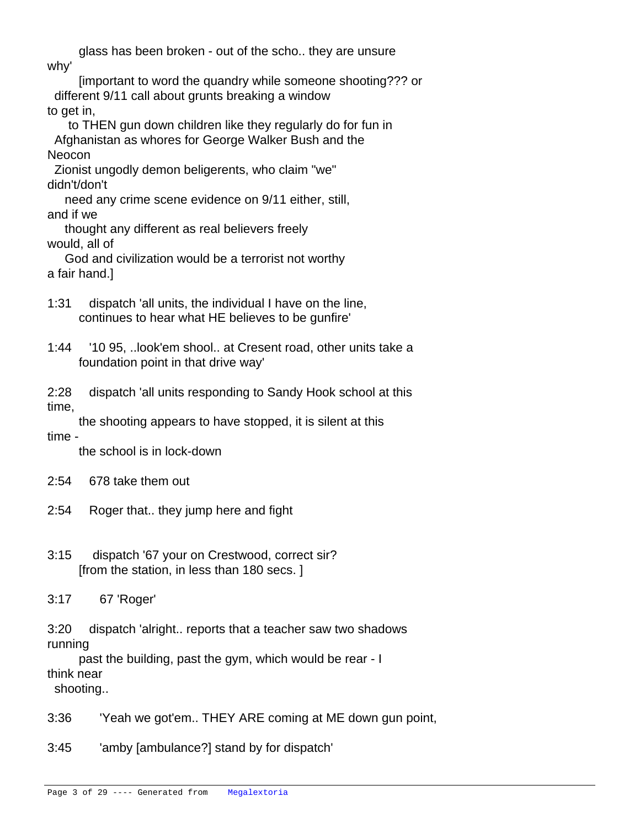glass has been broken - out of the scho.. they are unsure why' [important to word the quandry while someone shooting??? or different 9/11 call about grunts breaking a window to get in, to THEN gun down children like they regularly do for fun in Afghanistan as whores for George Walker Bush and the Neocon Zionist ungodly demon beligerents, who claim "we" didn't/don't need any crime scene evidence on 9/11 either, still, and if we thought any different as real believers freely would, all of God and civilization would be a terrorist not worthy a fair hand.] 1:31 dispatch 'all units, the individual I have on the line, continues to hear what HE believes to be gunfire' 1:44 '10 95, ..look'em shool.. at Cresent road, other units take a foundation point in that drive way' 2:28 dispatch 'all units responding to Sandy Hook school at this time, the shooting appears to have stopped, it is silent at this time the school is in lock-down 2:54 678 take them out 2:54 Roger that.. they jump here and fight 3:15 dispatch '67 your on Crestwood, correct sir? [from the station, in less than 180 secs. ] 3:17 67 'Roger' 3:20 dispatch 'alright.. reports that a teacher saw two shadows running past the building, past the gym, which would be rear - I

think near

 shooting..

- 3:36 'Yeah we got'em.. THEY ARE coming at ME down gun point,
- 3:45 'amby [ambulance?] stand by for dispatch'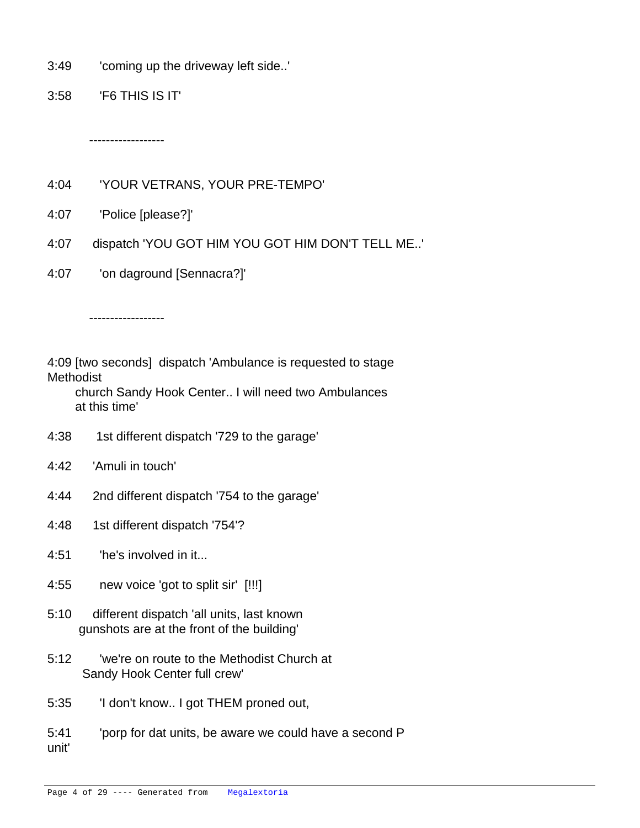- 3:49 'coming up the driveway left side..'
- 3:58 'F6 THIS IS IT'

------------------

- 4:04 'YOUR VETRANS, YOUR PRE-TEMPO'
- 4:07 'Police [please?]'
- 4:07 dispatch 'YOU GOT HIM YOU GOT HIM DON'T TELL ME..'
- 4:07 'on daground [Sennacra?]'

------------------

4:09 [two seconds] dispatch 'Ambulance is requested to stage **Methodist** 

 church Sandy Hook Center.. I will need two Ambulances at this time'

- 4:38 1st different dispatch '729 to the garage'
- 4:42 'Amuli in touch'
- 4:44 2nd different dispatch '754 to the garage'
- 4:48 1st different dispatch '754'?
- 4:51 'he's involved in it...
- 4:55 new voice 'got to split sir' [!!!]
- 5:10 different dispatch 'all units, last known gunshots are at the front of the building'
- 5:12 'we're on route to the Methodist Church at Sandy Hook Center full crew'
- 5:35 'I don't know.. I got THEM proned out,

5:41 'porp for dat units, be aware we could have a second P unit'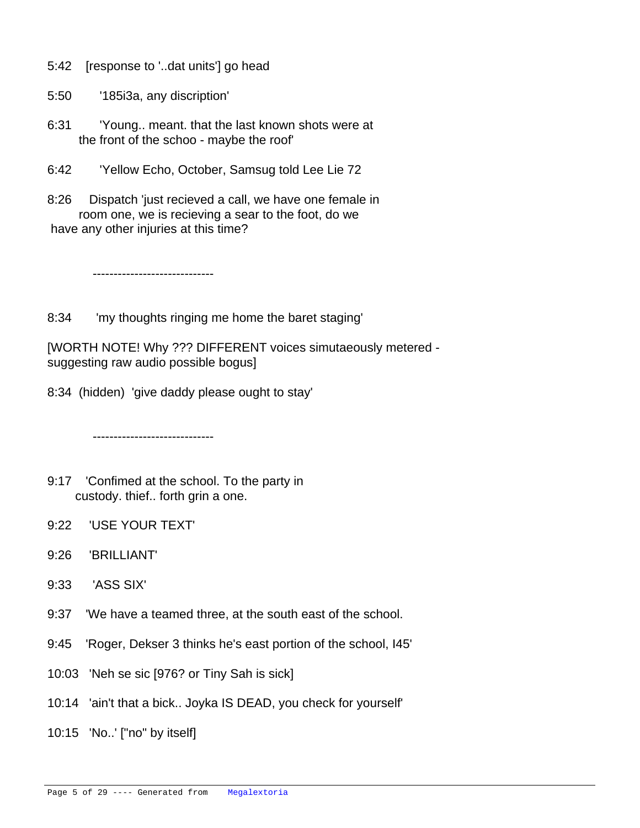- 5:42 [response to '..dat units'] go head
- 5:50 '185i3a, any discription'
- 6:31 'Young.. meant. that the last known shots were at the front of the schoo - maybe the roof'
- 6:42 'Yellow Echo, October, Samsug told Lee Lie 72
- 8:26 Dispatch 'just recieved a call, we have one female in room one, we is recieving a sear to the foot, do we have any other injuries at this time?

-----------------------------

8:34 'my thoughts ringing me home the baret staging'

[WORTH NOTE! Why ??? DIFFERENT voices simutaeously metered suggesting raw audio possible bogus]

8:34 (hidden) 'give daddy please ought to stay'

----------------------------- 

- 9:17 'Confimed at the school. To the party in custody. thief.. forth grin a one.
- 9:22 'USE YOUR TEXT'
- 9:26 'BRILLIANT'
- 9:33 'ASS SIX'
- 9:37 'We have a teamed three, at the south east of the school.
- 9:45 'Roger, Dekser 3 thinks he's east portion of the school, I45'
- 10:03 'Neh se sic [976? or Tiny Sah is sick]
- 10:14 'ain't that a bick.. Joyka IS DEAD, you check for yourself'
- 10:15 'No..' ["no" by itself]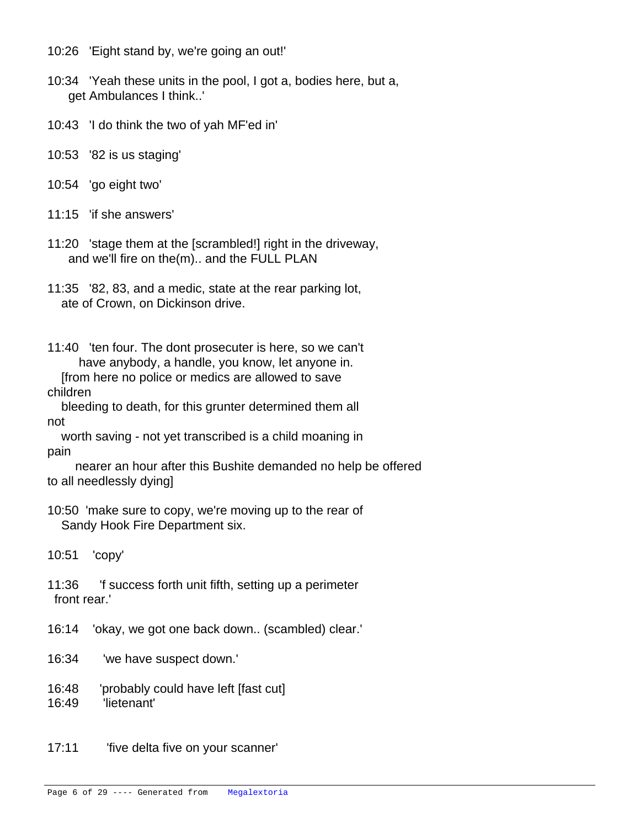- 10:26 'Eight stand by, we're going an out!'
- 10:34 'Yeah these units in the pool, I got a, bodies here, but a, get Ambulances I think..'
- 10:43 'I do think the two of yah MF'ed in'
- 10:53 '82 is us staging'
- 10:54 'go eight two'
- 11:15 'if she answers'
- 11:20 'stage them at the [scrambled!] right in the driveway, and we'll fire on the(m).. and the FULL PLAN
- 11:35 '82, 83, and a medic, state at the rear parking lot, ate of Crown, on Dickinson drive.
- 11:40 'ten four. The dont prosecuter is here, so we can't have anybody, a handle, you know, let anyone in.
- [from here no police or medics are allowed to save children
- bleeding to death, for this grunter determined them all not
- worth saving not yet transcribed is a child moaning in pain
- nearer an hour after this Bushite demanded no help be offered to all needlessly dying]
- 10:50 'make sure to copy, we're moving up to the rear of Sandy Hook Fire Department six.
- 10:51 'copy'
- 11:36 'f success forth unit fifth, setting up a perimeter front rear.'
- 16:14 'okay, we got one back down.. (scambled) clear.'
- 16:34 'we have suspect down.'
- 16:48 'probably could have left [fast cut]
- 16:49 'lietenant'
- 17:11 'five delta five on your scanner'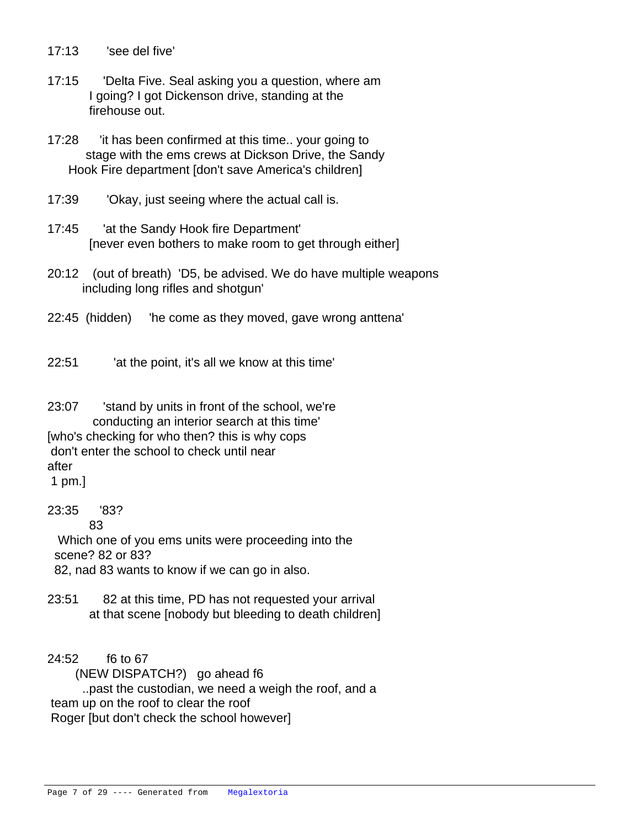17:13 'see del five'

- 17:15 'Delta Five. Seal asking you a question, where am I going? I got Dickenson drive, standing at the firehouse out.
- 17:28 'it has been confirmed at this time.. your going to stage with the ems crews at Dickson Drive, the Sandy Hook Fire department [don't save America's children]
- 17:39 'Okay, just seeing where the actual call is.
- 17:45 'at the Sandy Hook fire Department' [never even bothers to make room to get through either]
- 20:12 (out of breath) 'D5, be advised. We do have multiple weapons including long rifles and shotgun'
- 22:45 (hidden) 'he come as they moved, gave wrong anttena'
- 22:51 'at the point, it's all we know at this time'

23:07 'stand by units in front of the school, we're conducting an interior search at this time' [who's checking for who then? this is why cops don't enter the school to check until near after

 1 pm.]

23:35 '83?

83

 Which one of you ems units were proceeding into the scene? 82 or 83? 82, nad 83 wants to know if we can go in also.

23:51 82 at this time, PD has not requested your arrival at that scene [nobody but bleeding to death children]

24:52 f6 to 67

 (NEW DISPATCH?) go ahead f6 ..past the custodian, we need a weigh the roof, and a team up on the roof to clear the roof Roger [but don't check the school however]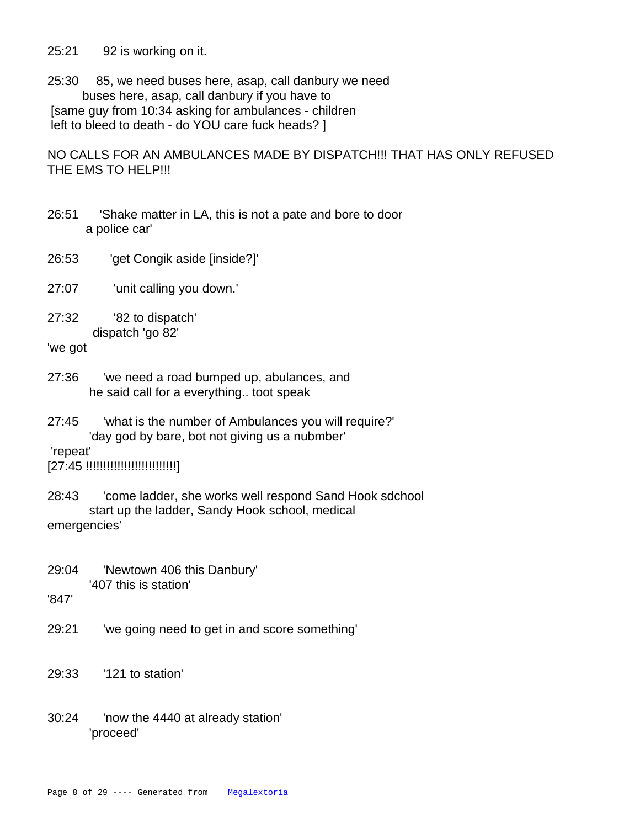25:21 92 is working on it.

25:30 85, we need buses here, asap, call danbury we need buses here, asap, call danbury if you have to [same guy from 10:34 asking for ambulances - children left to bleed to death - do YOU care fuck heads? ]

NO CALLS FOR AN AMBULANCES MADE BY DISPATCH!!! THAT HAS ONLY REFUSED THE EMS TO HELP!!!

- 26:51 'Shake matter in LA, this is not a pate and bore to door a police car'
- 26:53 'get Congik aside [inside?]'
- 27:07 'unit calling you down.'
- 27:32 '82 to dispatch' dispatch 'go 82' 'we got
- 27:36 'we need a road bumped up, abulances, and he said call for a everything.. toot speak
- 27:45 'what is the number of Ambulances you will require?' 'day god by bare, bot not giving us a nubmber' 'repeat'

## [27:45 !!!!!!!!!!!!!!!!!!!!!!!!!!]

28:43 'come ladder, she works well respond Sand Hook sdchool start up the ladder, Sandy Hook school, medical emergencies'

## 29:04 'Newtown 406 this Danbury' '407 this is station'

 '847'

- 29:21 'we going need to get in and score something'
- 29:33 '121 to station'
- 30:24 'now the 4440 at already station' 'proceed'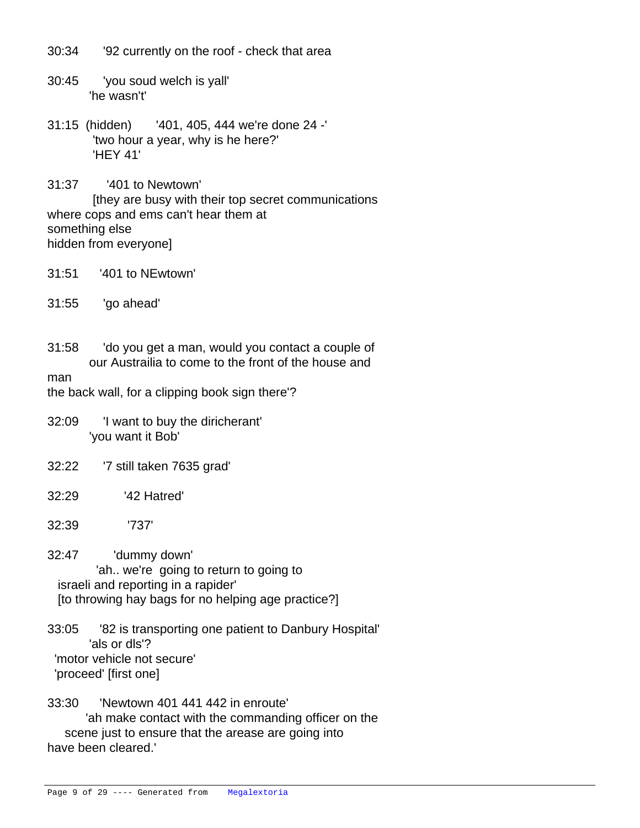30:34 '92 currently on the roof - check that area

- 30:45 'you soud welch is yall' 'he wasn't'
- 31:15 (hidden) '401, 405, 444 we're done 24 -' 'two hour a year, why is he here?' 'HEY 41'
- 31:37 '401 to Newtown' [they are busy with their top secret communications where cops and ems can't hear them at something else hidden from everyone]
- 31:51 '401 to NEwtown'
- 31:55 'go ahead'
- 31:58 'do you get a man, would you contact a couple of our Austrailia to come to the front of the house and man

the back wall, for a clipping book sign there'?

- 32:09 'I want to buy the diricherant' 'you want it Bob'
- 32:22 '7 still taken 7635 grad'
- 32:29 '42 Hatred'
- 32:39 '737'

32:47 'dummy down' 'ah.. we're going to return to going to israeli and reporting in a rapider' [to throwing hay bags for no helping age practice?]

- 33:05 '82 is transporting one patient to Danbury Hospital' 'als or dls'? 'motor vehicle not secure' 'proceed' [first one]
- 33:30 'Newtown 401 441 442 in enroute' 'ah make contact with the commanding officer on the scene just to ensure that the arease are going into have been cleared.'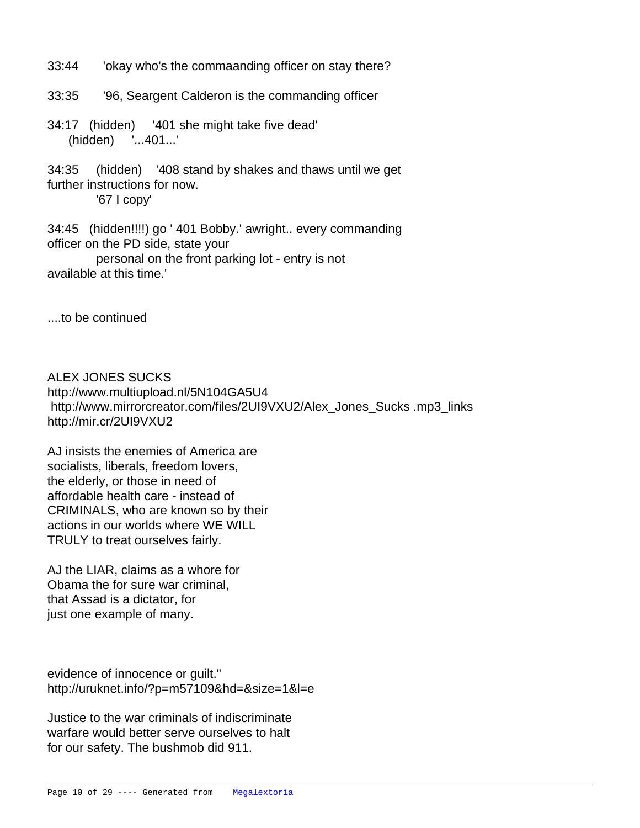33:44 'okay who's the commaanding officer on stay there?

33:35 '96, Seargent Calderon is the commanding officer

34:17 (hidden) '401 she might take five dead' (hidden) '...401...'

34:35 (hidden) '408 stand by shakes and thaws until we get further instructions for now. '67 I copy'

34:45 (hidden!!!!) go ' 401 Bobby.' awright.. every commanding officer on the PD side, state your personal on the front parking lot - entry is not available at this time.'

....to be continued

ALEX JONES SUCKS http://www.multiupload.nl/5N104GA5U4 http://www.mirrorcreator.com/files/2UI9VXU2/Alex\_Jones\_Sucks .mp3\_links http://mir.cr/2UI9VXU2

AJ insists the enemies of America are socialists, liberals, freedom lovers, the elderly, or those in need of affordable health care - instead of CRIMINALS, who are known so by their actions in our worlds where WE WILL TRULY to treat ourselves fairly.

AJ the LIAR, claims as a whore for Obama the for sure war criminal, that Assad is a dictator, for just one example of many.

evidence of innocence or guilt." http://uruknet.info/?p=m57109&hd=&size=1&l=e

Justice to the war criminals of indiscriminate warfare would better serve ourselves to halt for our safety. The bushmob did 911.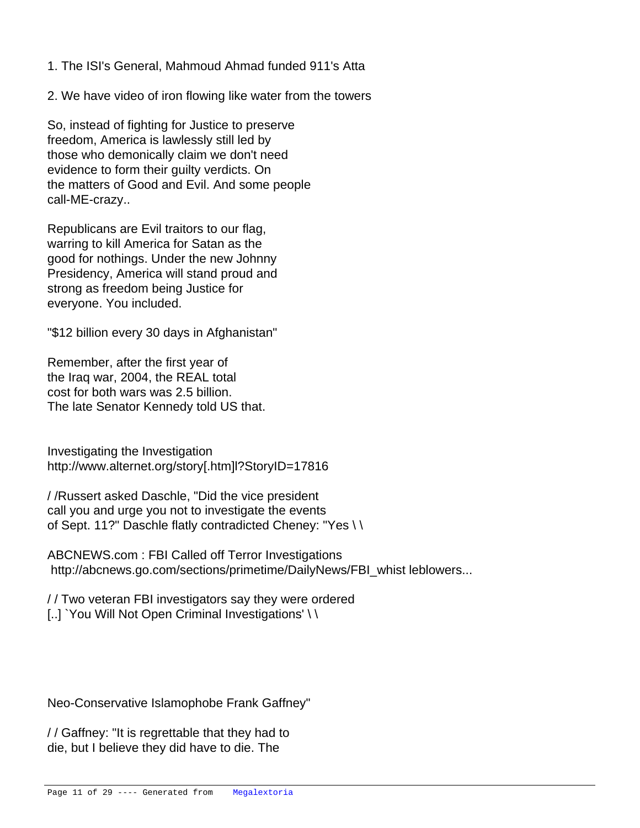1. The ISI's General, Mahmoud Ahmad funded 911's Atta

2. We have video of iron flowing like water from the towers

So, instead of fighting for Justice to preserve freedom, America is lawlessly still led by those who demonically claim we don't need evidence to form their guilty verdicts. On the matters of Good and Evil. And some people call-ME-crazy..

Republicans are Evil traitors to our flag, warring to kill America for Satan as the good for nothings. Under the new Johnny Presidency, America will stand proud and strong as freedom being Justice for everyone. You included.

"\$12 billion every 30 days in Afghanistan"

Remember, after the first year of the Iraq war, 2004, the REAL total cost for both wars was 2.5 billion. The late Senator Kennedy told US that.

Investigating the Investigation http://www.alternet.org/story[.htm]l?StoryID=17816

/ /Russert asked Daschle, "Did the vice president call you and urge you not to investigate the events of Sept. 11?" Daschle flatly contradicted Cheney: "Yes \ \

ABCNEWS.com : FBI Called off Terror Investigations http://abcnews.go.com/sections/primetime/DailyNews/FBI\_whist leblowers...

/ / Two veteran FBI investigators say they were ordered [..] `You Will Not Open Criminal Investigations' \\

Neo-Conservative Islamophobe Frank Gaffney"

/ / Gaffney: "It is regrettable that they had to die, but I believe they did have to die. The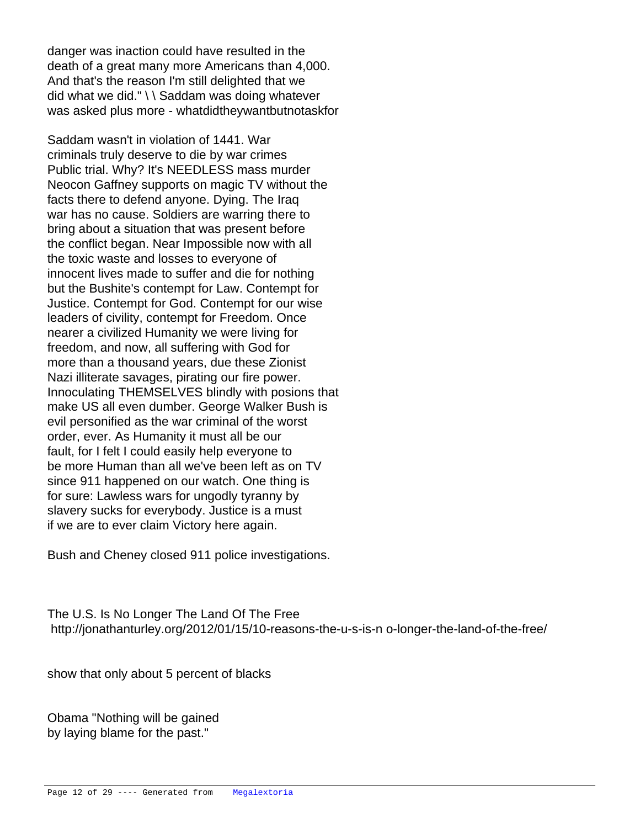danger was inaction could have resulted in the death of a great many more Americans than 4,000. And that's the reason I'm still delighted that we did what we did." \ \ Saddam was doing whatever was asked plus more - whatdidtheywantbutnotaskfor

Saddam wasn't in violation of 1441. War criminals truly deserve to die by war crimes Public trial. Why? It's NEEDLESS mass murder Neocon Gaffney supports on magic TV without the facts there to defend anyone. Dying. The Iraq war has no cause. Soldiers are warring there to bring about a situation that was present before the conflict began. Near Impossible now with all the toxic waste and losses to everyone of innocent lives made to suffer and die for nothing but the Bushite's contempt for Law. Contempt for Justice. Contempt for God. Contempt for our wise leaders of civility, contempt for Freedom. Once nearer a civilized Humanity we were living for freedom, and now, all suffering with God for more than a thousand years, due these Zionist Nazi illiterate savages, pirating our fire power. Innoculating THEMSELVES blindly with posions that make US all even dumber. George Walker Bush is evil personified as the war criminal of the worst order, ever. As Humanity it must all be our fault, for I felt I could easily help everyone to be more Human than all we've been left as on TV since 911 happened on our watch. One thing is for sure: Lawless wars for ungodly tyranny by slavery sucks for everybody. Justice is a must if we are to ever claim Victory here again.

Bush and Cheney closed 911 police investigations.

The U.S. Is No Longer The Land Of The Free http://jonathanturley.org/2012/01/15/10-reasons-the-u-s-is-n o-longer-the-land-of-the-free/

show that only about 5 percent of blacks

Obama "Nothing will be gained by laying blame for the past."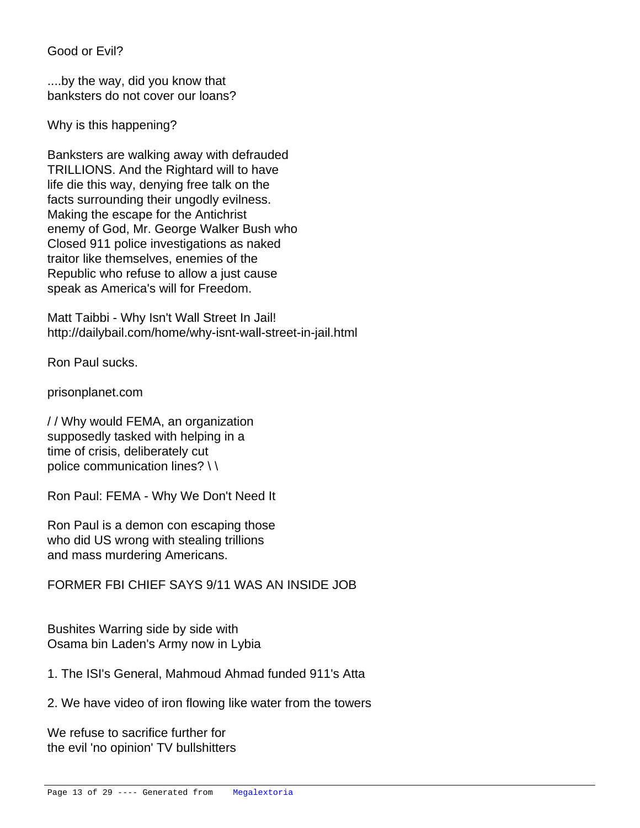Good or Evil?

....by the way, did you know that banksters do not cover our loans?

Why is this happening?

Banksters are walking away with defrauded TRILLIONS. And the Rightard will to have life die this way, denying free talk on the facts surrounding their ungodly evilness. Making the escape for the Antichrist enemy of God, Mr. George Walker Bush who Closed 911 police investigations as naked traitor like themselves, enemies of the Republic who refuse to allow a just cause speak as America's will for Freedom.

Matt Taibbi - Why Isn't Wall Street In Jail! http://dailybail.com/home/why-isnt-wall-street-in-jail.html

Ron Paul sucks.

prisonplanet.com

/ / Why would FEMA, an organization supposedly tasked with helping in a time of crisis, deliberately cut police communication lines? \ \

Ron Paul: FEMA - Why We Don't Need It

Ron Paul is a demon con escaping those who did US wrong with stealing trillions and mass murdering Americans.

FORMER FBI CHIEF SAYS 9/11 WAS AN INSIDE JOB

Bushites Warring side by side with Osama bin Laden's Army now in Lybia

1. The ISI's General, Mahmoud Ahmad funded 911's Atta

2. We have video of iron flowing like water from the towers

We refuse to sacrifice further for the evil 'no opinion' TV bullshitters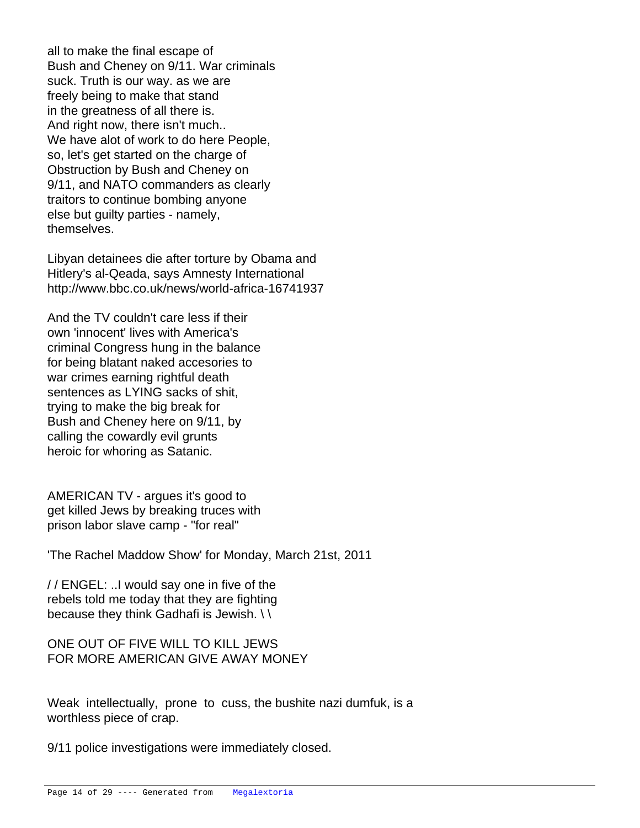all to make the final escape of Bush and Cheney on 9/11. War criminals suck. Truth is our way. as we are freely being to make that stand in the greatness of all there is. And right now, there isn't much.. We have alot of work to do here People, so, let's get started on the charge of Obstruction by Bush and Cheney on 9/11, and NATO commanders as clearly traitors to continue bombing anyone else but guilty parties - namely, themselves.

Libyan detainees die after torture by Obama and Hitlery's al-Qeada, says Amnesty International http://www.bbc.co.uk/news/world-africa-16741937

And the TV couldn't care less if their own 'innocent' lives with America's criminal Congress hung in the balance for being blatant naked accesories to war crimes earning rightful death sentences as LYING sacks of shit, trying to make the big break for Bush and Cheney here on 9/11, by calling the cowardly evil grunts heroic for whoring as Satanic.

AMERICAN TV - argues it's good to get killed Jews by breaking truces with prison labor slave camp - "for real"

'The Rachel Maddow Show' for Monday, March 21st, 2011

/ / ENGEL: ..I would say one in five of the rebels told me today that they are fighting because they think Gadhafi is Jewish. \ \

ONE OUT OF FIVE WILL TO KILL JEWS FOR MORE AMERICAN GIVE AWAY MONEY

Weak intellectually, prone to cuss, the bushite nazi dumfuk, is a worthless piece of crap.

9/11 police investigations were immediately closed.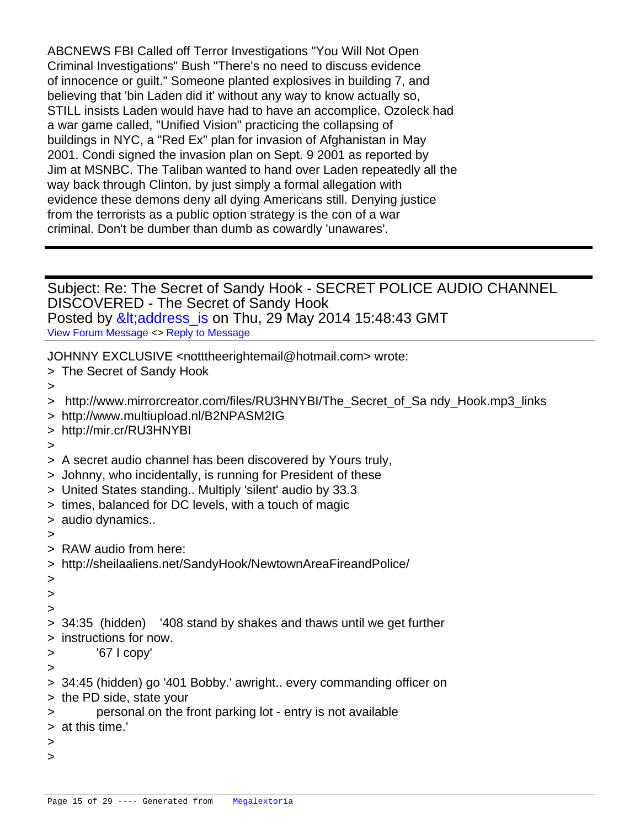ABCNEWS FBI Called off Terror Investigations "You Will Not Open Criminal Investigations" Bush "There's no need to discuss evidence of innocence or guilt." Someone planted explosives in building 7, and believing that 'bin Laden did it' without any way to know actually so, STILL insists Laden would have had to have an accomplice. Ozoleck had a war game called, "Unified Vision" practicing the collapsing of buildings in NYC, a "Red Ex" plan for invasion of Afghanistan in May 2001. Condi signed the invasion plan on Sept. 9 2001 as reported by Jim at MSNBC. The Taliban wanted to hand over Laden repeatedly all the way back through Clinton, by just simply a formal allegation with evidence these demons deny all dying Americans still. Denying justice from the terrorists as a public option strategy is the con of a war criminal. Don't be dumber than dumb as cowardly 'unawares'.

Subject: Re: The Secret of Sandy Hook - SECRET POLICE AUDIO CHANNEL DISCOVERED - The Secret of Sandy Hook Posted by  $<$  address is on Thu, 29 May 2014 15:48:43 GMT [View Forum Message](http://www.megalextoria.com/forum2/index.php?t=rview&th=14983&goto=253381#msg_253381) <> [Reply to Message](http://www.megalextoria.com/forum2/index.php?t=post&reply_to=253381)

JOHNNY EXCLUSIVE <notttheerightemail@hotmail.com> wrote:

> The Secret of Sandy Hook

>

- > http://www.mirrorcreator.com/files/RU3HNYBI/The\_Secret\_of\_Sa ndy\_Hook.mp3\_links
- > http://www.multiupload.nl/B2NPASM2IG
- > http://mir.cr/RU3HNYBI
- >
- > A secret audio channel has been discovered by Yours truly,
- > Johnny, who incidentally, is running for President of these
- > United States standing.. Multiply 'silent' audio by 33.3
- > times, balanced for DC levels, with a touch of magic
- > audio dynamics..
- >
- > RAW audio from here:
- > http://sheilaaliens.net/SandyHook/NewtownAreaFireandPolice/
- >
- >
- >
- > 34:35 (hidden) '408 stand by shakes and thaws until we get further
- > instructions for now.
- > '67 I copy'
- $>$  and  $\geq$
- > 34:45 (hidden) go '401 Bobby.' awright.. every commanding officer on
- > the PD side, state your
- > personal on the front parking lot entry is not available
- > at this time.'
- >
- >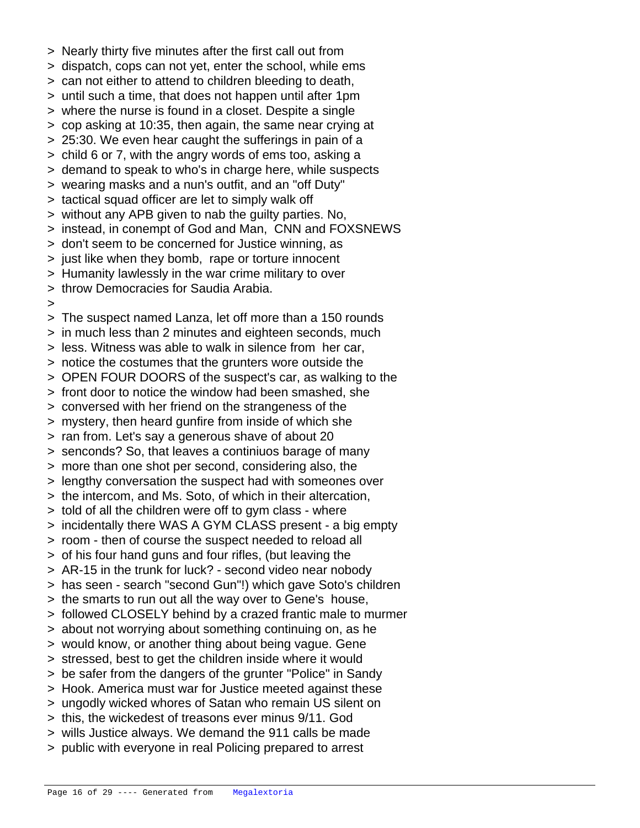- > Nearly thirty five minutes after the first call out from
- > dispatch, cops can not yet, enter the school, while ems
- > can not either to attend to children bleeding to death,
- > until such a time, that does not happen until after 1pm
- > where the nurse is found in a closet. Despite a single
- > cop asking at 10:35, then again, the same near crying at
- > 25:30. We even hear caught the sufferings in pain of a
- > child 6 or 7, with the angry words of ems too, asking a
- > demand to speak to who's in charge here, while suspects
- > wearing masks and a nun's outfit, and an "off Duty"
- > tactical squad officer are let to simply walk off
- > without any APB given to nab the guilty parties. No,
- > instead, in conempt of God and Man, CNN and FOXSNEWS
- > don't seem to be concerned for Justice winning, as
- > just like when they bomb, rape or torture innocent
- > Humanity lawlessly in the war crime military to over
- > throw Democracies for Saudia Arabia.
- >
- > The suspect named Lanza, let off more than a 150 rounds
- > in much less than 2 minutes and eighteen seconds, much
- > less. Witness was able to walk in silence from her car,
- > notice the costumes that the grunters wore outside the
- > OPEN FOUR DOORS of the suspect's car, as walking to the
- > front door to notice the window had been smashed, she
- > conversed with her friend on the strangeness of the
- > mystery, then heard gunfire from inside of which she
- > ran from. Let's say a generous shave of about 20
- > senconds? So, that leaves a continiuos barage of many
- > more than one shot per second, considering also, the
- > lengthy conversation the suspect had with someones over
- > the intercom, and Ms. Soto, of which in their altercation,
- > told of all the children were off to gym class where
- > incidentally there WAS A GYM CLASS present a big empty
- > room then of course the suspect needed to reload all
- > of his four hand guns and four rifles, (but leaving the
- > AR-15 in the trunk for luck? second video near nobody
- > has seen search "second Gun"!) which gave Soto's children
- > the smarts to run out all the way over to Gene's house,
- > followed CLOSELY behind by a crazed frantic male to murmer
- > about not worrying about something continuing on, as he
- > would know, or another thing about being vague. Gene
- > stressed, best to get the children inside where it would
- > be safer from the dangers of the grunter "Police" in Sandy
- > Hook. America must war for Justice meeted against these
- > ungodly wicked whores of Satan who remain US silent on
- > this, the wickedest of treasons ever minus 9/11. God
- > wills Justice always. We demand the 911 calls be made
- > public with everyone in real Policing prepared to arrest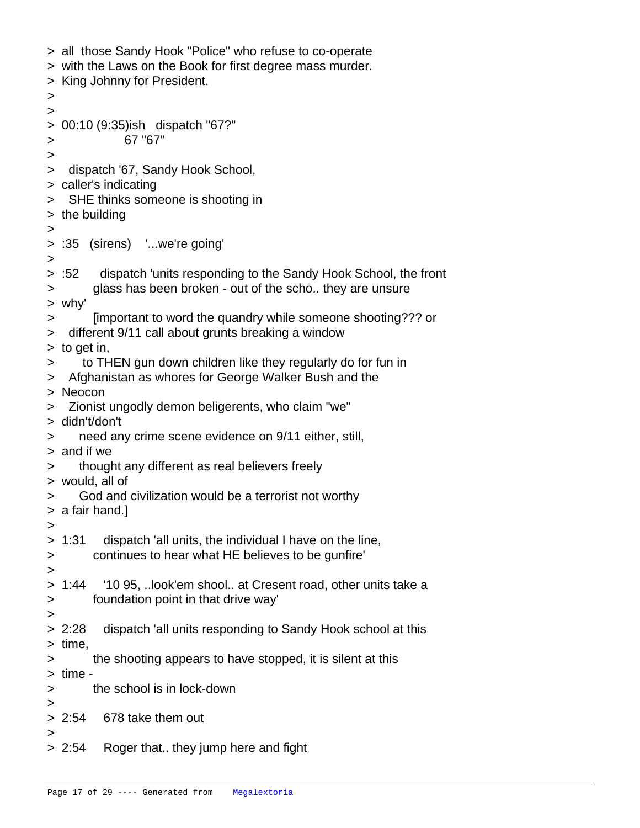> all those Sandy Hook "Police" who refuse to co-operate > with the Laws on the Book for first degree mass murder. > King Johnny for President. > > > 00:10 (9:35)ish dispatch "67?" > 67 "67" > > dispatch '67, Sandy Hook School, > caller's indicating > SHE thinks someone is shooting in > the building > > :35 (sirens) '...we're going' > > :52 dispatch 'units responding to the Sandy Hook School, the front > glass has been broken - out of the scho.. they are unsure > why' > [important to word the quandry while someone shooting??? or > different 9/11 call about grunts breaking a window > to get in, > to THEN gun down children like they regularly do for fun in > Afghanistan as whores for George Walker Bush and the > Neocon > Zionist ungodly demon beligerents, who claim "we" > didn't/don't > need any crime scene evidence on 9/11 either, still, > and if we > thought any different as real believers freely > would, all of > God and civilization would be a terrorist not worthy > a fair hand.] > > 1:31 dispatch 'all units, the individual I have on the line, > continues to hear what HE believes to be gunfire' > > 1:44 '10 95, ..look'em shool.. at Cresent road, other units take a > foundation point in that drive way' > > 2:28 dispatch 'all units responding to Sandy Hook school at this > time, > the shooting appears to have stopped, it is silent at this > time - > the school is in lock-down > > 2:54 678 take them out > > 2:54 Roger that.. they jump here and fight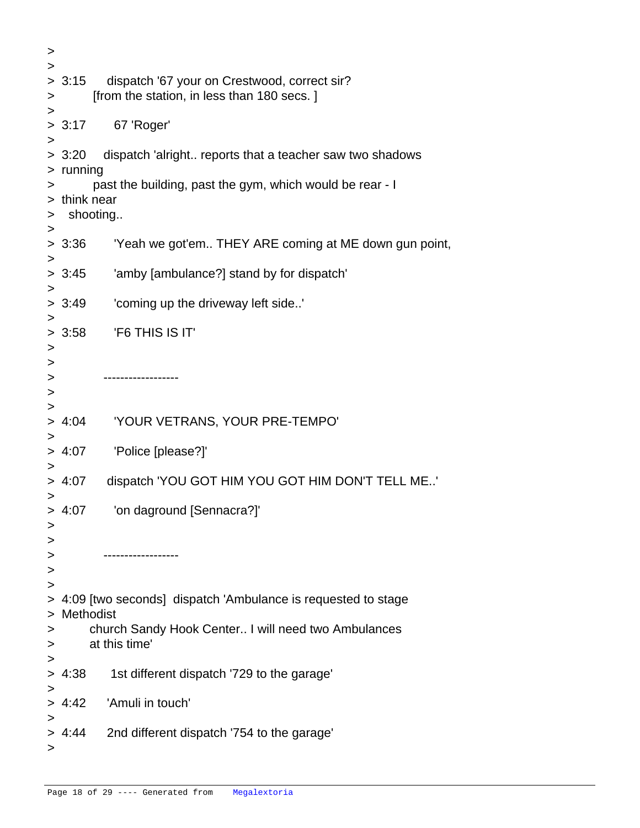```
\,>\,>> 3:15 dispatch '67 your on Crestwood, correct sir?
> [from the station, in less than 180 secs. ]
> 				 
> 3:17 67 'Roger'
> 
> 3:20 dispatch 'alright.. reports that a teacher saw two shadows
> running
> past the building, past the gym, which would be rear - I
> think near
> shooting..
> 
> 3:36 'Yeah we got'em.. THEY ARE coming at ME down gun point, 
> 
> 3:45 'amby [ambulance?] stand by for dispatch'
> 
> 3:49 'coming up the driveway left side..'
> 
> 3:58 'F6 THIS IS IT' 
> 
> 
> ------------------
> 
> 							 
> 4:04 'YOUR VETRANS, YOUR PRE-TEMPO' 
> 
> 4:07 'Police [please?]' 
> 
> 4:07 dispatch 'YOU GOT HIM YOU GOT HIM DON'T TELL ME..'
> 
> 4:07 'on daground [Sennacra?]'
> 
> 
> ------------------
> 
> 
> 4:09 [two seconds] dispatch 'Ambulance is requested to stage
> Methodist
> church Sandy Hook Center.. I will need two Ambulances
> at this time'
> 
> 4:38 1st different dispatch '729 to the garage'
> 
> 4:42 'Amuli in touch' 
> 
> 4:44 2nd different dispatch '754 to the garage'
>
```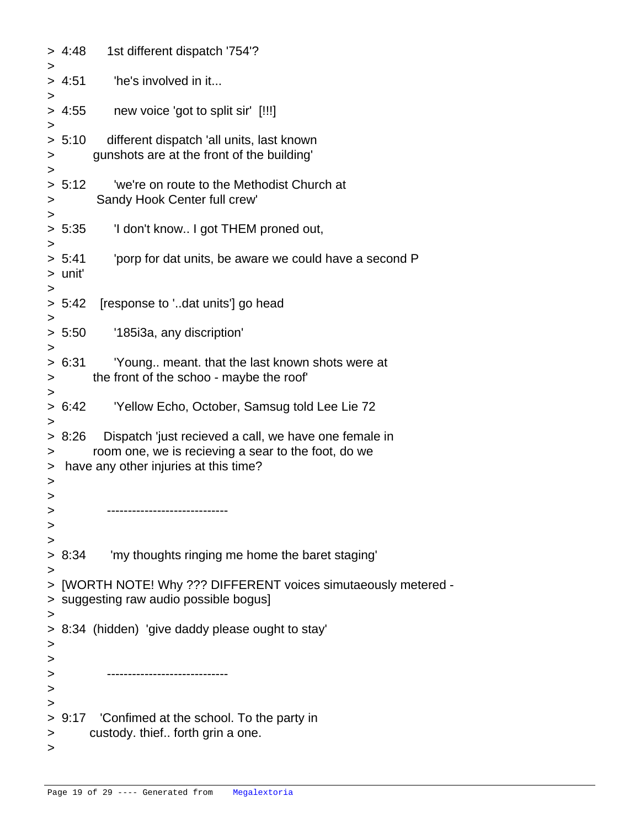|                            | > 4:48                                                                                                                                                        | 1st different dispatch '754'?                                                               |  |
|----------------------------|---------------------------------------------------------------------------------------------------------------------------------------------------------------|---------------------------------------------------------------------------------------------|--|
| >                          | > 4:51                                                                                                                                                        | 'he's involved in it                                                                        |  |
| >                          | > 4:55                                                                                                                                                        | new voice 'got to split sir' [!!!]                                                          |  |
| ><br>><br>>                | > 5:10                                                                                                                                                        | different dispatch 'all units, last known<br>gunshots are at the front of the building'     |  |
| >                          | > 5:12                                                                                                                                                        | 'we're on route to the Methodist Church at<br>Sandy Hook Center full crew'                  |  |
| >                          | > 5:35                                                                                                                                                        | 'I don't know I got THEM proned out,                                                        |  |
| >                          | > 5:41<br>> unit'                                                                                                                                             | 'porp for dat units, be aware we could have a second P                                      |  |
| ><br>>                     | > 5:42                                                                                                                                                        | [response to 'dat units'] go head                                                           |  |
| >                          | > 5:50                                                                                                                                                        | '185i3a, any discription'                                                                   |  |
| >                          | > 6:31                                                                                                                                                        | 'Young meant. that the last known shots were at<br>the front of the schoo - maybe the roof' |  |
| >                          | > 6:42                                                                                                                                                        | 'Yellow Echo, October, Samsug told Lee Lie 72                                               |  |
| ><br>$\geq$<br>><br>><br>> | 8:26<br>Dispatch 'just recieved a call, we have one female in<br>room one, we is recieving a sear to the foot, do we<br>have any other injuries at this time? |                                                                                             |  |
| ><br>⋗<br>>                |                                                                                                                                                               |                                                                                             |  |
| ><br>>                     | > 8:34                                                                                                                                                        | 'my thoughts ringing me home the baret staging'                                             |  |
| $\geq$<br>➤<br>>           | [WORTH NOTE! Why ??? DIFFERENT voices simutaeously metered -<br>suggesting raw audio possible bogus]                                                          |                                                                                             |  |
| >                          | > 8:34 (hidden) 'give daddy please ought to stay'                                                                                                             |                                                                                             |  |
| ><br>><br>>                |                                                                                                                                                               | -------------------------                                                                   |  |
| ><br>⋗<br>><br>>           |                                                                                                                                                               | 9:17 Confimed at the school. To the party in<br>custody. thief forth grin a one.            |  |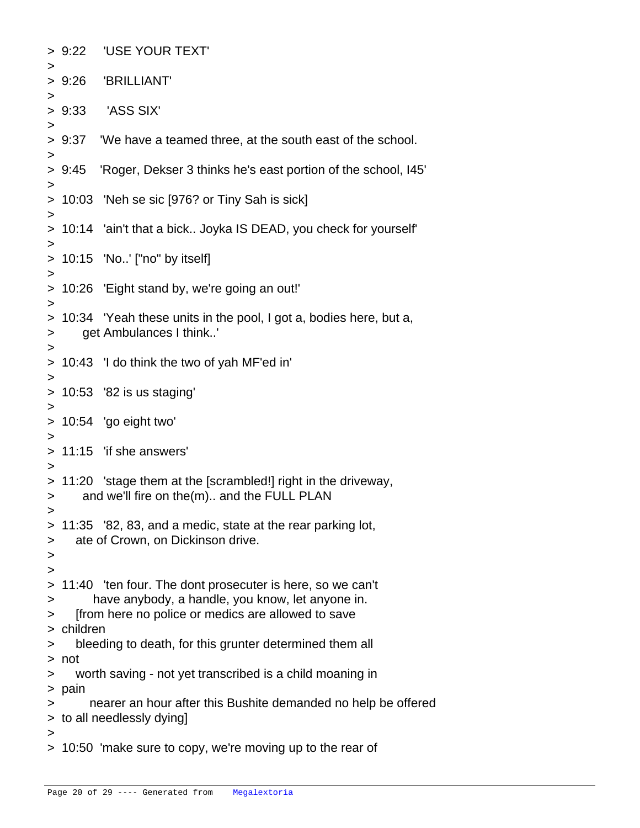| >                   |                                                                                                   | > 9:26 'BRILLIANT'                                                                                                                                                              |  |  |
|---------------------|---------------------------------------------------------------------------------------------------|---------------------------------------------------------------------------------------------------------------------------------------------------------------------------------|--|--|
| >                   |                                                                                                   |                                                                                                                                                                                 |  |  |
| ><br>>              |                                                                                                   | > 9:37 We have a teamed three, at the south east of the school.                                                                                                                 |  |  |
| >                   | > 9:45                                                                                            | 'Roger, Dekser 3 thinks he's east portion of the school, 145'                                                                                                                   |  |  |
| $\geq$<br>>         |                                                                                                   | 10:03 'Neh se sic [976? or Tiny Sah is sick]                                                                                                                                    |  |  |
| $\mathbf{r}$<br>>   |                                                                                                   | 10:14 'ain't that a bick Joyka IS DEAD, you check for yourself'                                                                                                                 |  |  |
| >                   |                                                                                                   | > 10:15 'No' ["no" by itself]                                                                                                                                                   |  |  |
| $\mathbf{I}$<br>>   |                                                                                                   | 10:26 'Eight stand by, we're going an out!'                                                                                                                                     |  |  |
| $\, > \,$<br>><br>> |                                                                                                   | 10:34 'Yeah these units in the pool, I got a, bodies here, but a,<br>get Ambulances I think'                                                                                    |  |  |
| ><br>>              |                                                                                                   | 10:43 'I do think the two of yah MF'ed in'                                                                                                                                      |  |  |
| $\geq$<br>>         |                                                                                                   | 10:53 '82 is us staging'                                                                                                                                                        |  |  |
| $\geq$<br>>         |                                                                                                   | 10:54 'go eight two'                                                                                                                                                            |  |  |
| $\mathbf{I}$<br>>   |                                                                                                   | 11:15 'if she answers'                                                                                                                                                          |  |  |
| >                   |                                                                                                   | > 11:20 'stage them at the [scrambled!] right in the driveway,<br>and we'll fire on the(m) and the FULL PLAN                                                                    |  |  |
| ><br>><br>>         |                                                                                                   | > 11:35 '82, 83, and a medic, state at the rear parking lot,<br>ate of Crown, on Dickinson drive.                                                                               |  |  |
| ><br>><br>>         |                                                                                                   | 11:40 'ten four. The dont prosecuter is here, so we can't<br>have anybody, a handle, you know, let anyone in.<br>[from here no police or medics are allowed to save<br>children |  |  |
| ><br>>              |                                                                                                   | bleeding to death, for this grunter determined them all                                                                                                                         |  |  |
| ><br>>              | not<br>worth saving - not yet transcribed is a child moaning in                                   |                                                                                                                                                                                 |  |  |
| ><br>><br>><br>>    | pain<br>nearer an hour after this Bushite demanded no help be offered<br>to all needlessly dying] |                                                                                                                                                                                 |  |  |
|                     |                                                                                                   | > 10:50 'make sure to copy, we're moving up to the rear of                                                                                                                      |  |  |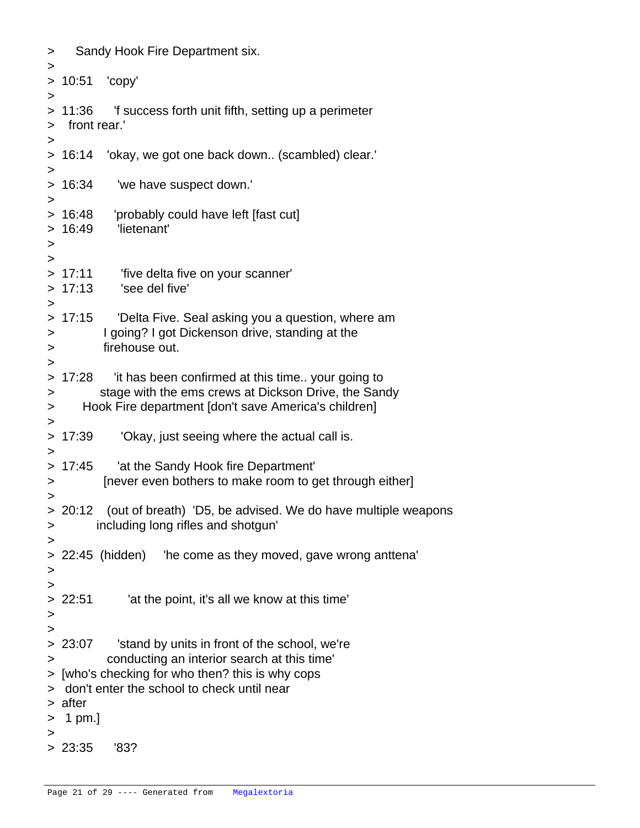```
> Sandy Hook Fire Department six.
> 
> 10:51 'copy'
> 
> 11:36 'f success forth unit fifth, setting up a perimeter 
> front rear.'
> 
> 16:14 'okay, we got one back down.. (scambled) clear.'		
> 
> 16:34 'we have suspect down.'
> 
> 16:48 'probably could have left [fast cut]
> 16:49 'lietenant'
> 
> 
> 17:11 'five delta five on your scanner'
> 17:13 'see del five'
> 
> 17:15 'Delta Five. Seal asking you a question, where am
> I going? I got Dickenson drive, standing at the 
> firehouse out.
> 
> 17:28 'it has been confirmed at this time.. your going to
> stage with the ems crews at Dickson Drive, the Sandy
> 	 Hook Fire department [don't save America's children]
>> 17:39 'Okay, just seeing where the actual call is.
> 
> 17:45 'at the Sandy Hook fire Department'
> [never even bothers to make room to get through either]
> 
> 20:12 (out of breath) 'D5, be advised. We do have multiple weapons
> including long rifles and shotgun'
> 
> 22:45 (hidden) 'he come as they moved, gave wrong anttena'
> 
> 
> 22:51 'at the point, it's all we know at this time'
> and \sim \sim> 						 
> 23:07 'stand by units in front of the school, we're
> conducting an interior search at this time'
> [who's checking for who then? this is why cops
> 			 don't enter the school to check until near
> after
> 1 \text{ pm.}> 						
> 23:35 '83?
```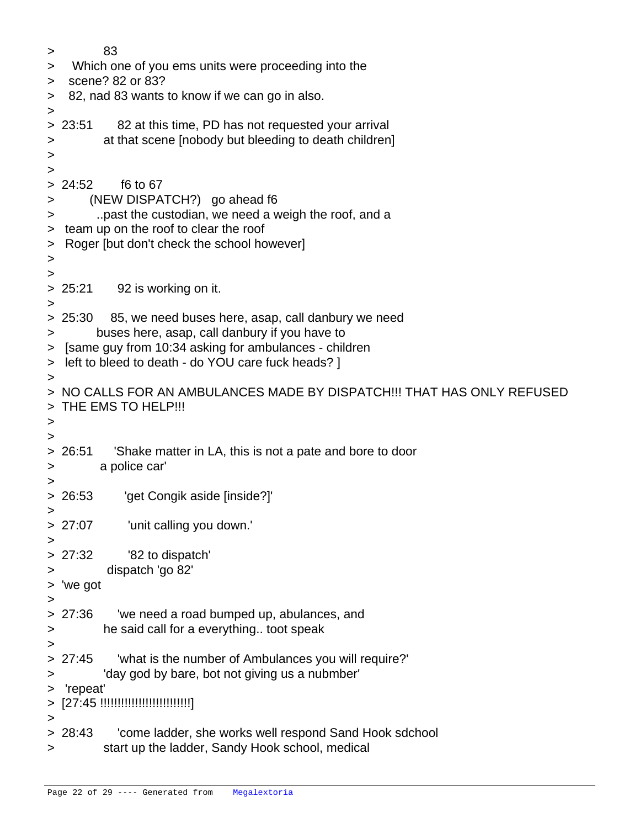```
> 83
> Which one of you ems units were proceeding into the
> 		 scene? 82 or 83?
> 		 82, nad 83 wants to know if we can go in also.
> 						 
> 23:51 82 at this time, PD has not requested your arrival 
> at that scene [nobody but bleeding to death children]
> 
> 						 
> 24:52 f6 to 67
> (NEW DISPATCH?) go ahead f6
> ..past the custodian, we need a weigh the roof, and a
> 		 team up on the roof to clear the roof	
> Roger [but don't check the school however]
> 						 
> 						 
> 25:21 92 is working on it.
> 
> 25:30 85, we need buses here, asap, call danbury we need 
> buses here, asap, call danbury if you have to
> [same guy from 10:34 asking for ambulances - children
> left to bleed to death - do YOU care fuck heads? ]
> 						 
> NO CALLS FOR AN AMBULANCES MADE BY DISPATCH!!! THAT HAS ONLY REFUSED
> THE EMS TO HELP!!! 
> 
> 	
> 26:51 'Shake matter in LA, this is not a pate and bore to door
> a police car'
> 
> 26:53 'get Congik aside [inside?]'
> 
> 27:07 'unit calling you down.'
> 
> 27:32 '82 to dispatch'
> dispatch 'go 82'
> 'we got
> 							
> 27:36 'we need a road bumped up, abulances, and 
> he said call for a everything.. toot speak
> 
> 27:45 'what is the number of Ambulances you will require?'
> 'day god by bare, bot not giving us a nubmber'
> 'repeat'
> [27:45 !!!!!!!!!!!!!!!!!!!!!!!!!!]
> 					
> 28:43 'come ladder, she works well respond Sand Hook sdchool
> start up the ladder, Sandy Hook school, medical
```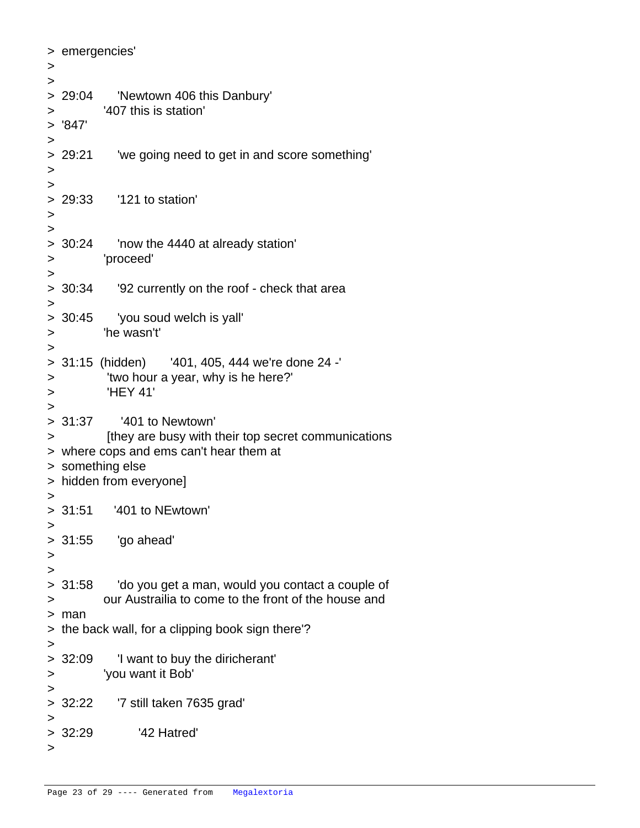```
> emergencies'
> 
> 
> 29:04 'Newtown 406 this Danbury'
> '407 this is station'
> 			'847'
> 
> 29:21 'we going need to get in and score something'
> 
> 
> 29:33 '121 to station'
> 
> 
> 30:24 'now the 4440 at already station'
> 'proceed'
> 
> 30:34 '92 currently on the roof - check that area
> 
> 30:45 'you soud welch is yall'
> 'he wasn't'
> 								
> 31:15 (hidden) '401, 405, 444 we're done 24 -' 
> 'two hour a year, why is he here?'
> 'HEY 41'
> 								
> 31:37 '401 to Newtown'		
> [they are busy with their top secret communications 
> where cops and ems can't hear them at
> something else
> hidden from everyone]
> 
> 31:51 '401 to NEwtown'				
> 
> 31:55 'go ahead'
> 
> 
> 31:58 'do you get a man, would you contact a couple of
> our Austrailia to come to the front of the house and
> man
> the back wall, for a clipping book sign there'? 
> 
> 32:09 'I want to buy the diricherant'
> 'you want it Bob'
> and \geq> 32:22 '7 still taken 7635 grad'
> 								 
> 32:29 '42 Hatred'
>
```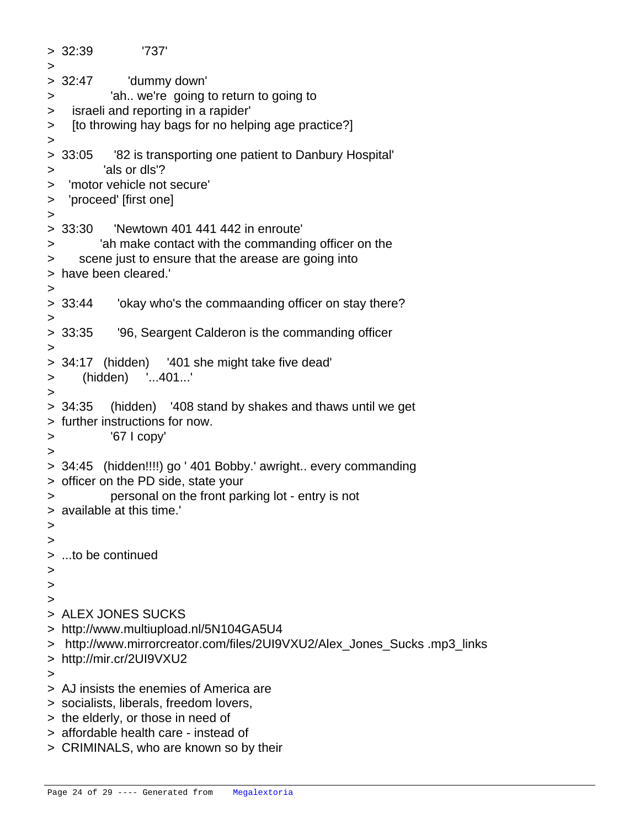> 32:39 '737' > > 32:47 'dummy down' > 'ah.. we're going to return to going to > israeli and reporting in a rapider' > [to throwing hay bags for no helping age practice?] > > 33:05 '82 is transporting one patient to Danbury Hospital' > 'als or dls'? > 'motor vehicle not secure' > 'proceed' [first one]  $>$  and  $\geq$  and  $\geq$ > 33:30 'Newtown 401 441 442 in enroute' > 'ah make contact with the commanding officer on the > scene just to ensure that the arease are going into > have been cleared.' > > 33:44 'okay who's the commaanding officer on stay there? > > 33:35 '96, Seargent Calderon is the commanding officer  $>$  and  $\geq$  and  $\geq$ > 34:17 (hidden) '401 she might take five dead' > (hidden) '...401...' > > 34:35 (hidden) '408 stand by shakes and thaws until we get > further instructions for now. > '67 I copy' > > 34:45 (hidden!!!!) go ' 401 Bobby.' awright.. every commanding > officer on the PD side, state your > personal on the front parking lot - entry is not > available at this time.' > > > ...to be continued > > > > ALEX JONES SUCKS > http://www.multiupload.nl/5N104GA5U4 > http://www.mirrorcreator.com/files/2UI9VXU2/Alex\_Jones\_Sucks .mp3\_links > http://mir.cr/2UI9VXU2 > > AJ insists the enemies of America are > socialists, liberals, freedom lovers, > the elderly, or those in need of > affordable health care - instead of > CRIMINALS, who are known so by their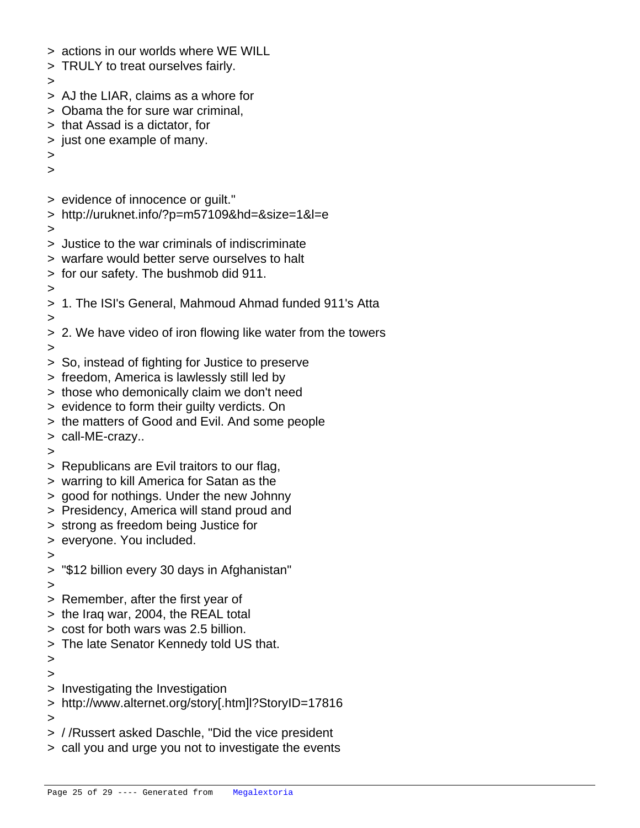- > actions in our worlds where WE WILL
- > TRULY to treat ourselves fairly.
- >
- > AJ the LIAR, claims as a whore for
- > Obama the for sure war criminal,
- > that Assad is a dictator, for
- > just one example of many.
- >
- >
- > evidence of innocence or guilt."
- > http://uruknet.info/?p=m57109&hd=&size=1&l=e
- >
- > Justice to the war criminals of indiscriminate
- > warfare would better serve ourselves to halt
- > for our safety. The bushmob did 911.
- >
- > 1. The ISI's General, Mahmoud Ahmad funded 911's Atta
- >
- > 2. We have video of iron flowing like water from the towers
- >
- > So, instead of fighting for Justice to preserve
- > freedom, America is lawlessly still led by
- > those who demonically claim we don't need
- > evidence to form their guilty verdicts. On
- > the matters of Good and Evil. And some people
- > call-ME-crazy..
- >
- > Republicans are Evil traitors to our flag,
- > warring to kill America for Satan as the
- > good for nothings. Under the new Johnny
- > Presidency, America will stand proud and
- > strong as freedom being Justice for
- > everyone. You included.
- >
- > "\$12 billion every 30 days in Afghanistan"
- >
- > Remember, after the first year of
- > the Iraq war, 2004, the REAL total
- > cost for both wars was 2.5 billion.
- > The late Senator Kennedy told US that.
- > >
- > Investigating the Investigation
- > http://www.alternet.org/story[.htm]l?StoryID=17816
- >
- > / /Russert asked Daschle, "Did the vice president
- > call you and urge you not to investigate the events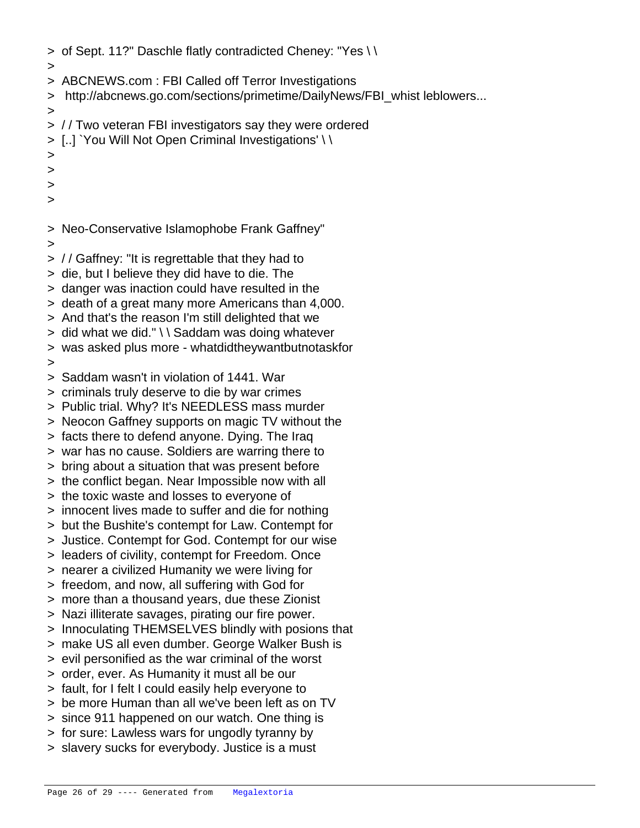- > of Sept. 11?" Daschle flatly contradicted Cheney: "Yes \ \
- >
- > ABCNEWS.com : FBI Called off Terror Investigations
- > http://abcnews.go.com/sections/primetime/DailyNews/FBI\_whist leblowers...
- >
- > / / Two veteran FBI investigators say they were ordered
- > [..] `You Will Not Open Criminal Investigations' \ \
- >
- >
- >
- >
- > Neo-Conservative Islamophobe Frank Gaffney"
- >
- > / / Gaffney: "It is regrettable that they had to
- > die, but I believe they did have to die. The
- > danger was inaction could have resulted in the
- > death of a great many more Americans than 4,000.
- > And that's the reason I'm still delighted that we
- $>$  did what we did."  $\setminus$  Saddam was doing whatever
- > was asked plus more whatdidtheywantbutnotaskfor
- >
- > Saddam wasn't in violation of 1441. War
- > criminals truly deserve to die by war crimes
- > Public trial. Why? It's NEEDLESS mass murder
- > Neocon Gaffney supports on magic TV without the
- > facts there to defend anyone. Dying. The Iraq
- > war has no cause. Soldiers are warring there to
- > bring about a situation that was present before
- > the conflict began. Near Impossible now with all
- > the toxic waste and losses to everyone of
- > innocent lives made to suffer and die for nothing
- > but the Bushite's contempt for Law. Contempt for
- > Justice. Contempt for God. Contempt for our wise
- > leaders of civility, contempt for Freedom. Once
- > nearer a civilized Humanity we were living for
- > freedom, and now, all suffering with God for
- > more than a thousand years, due these Zionist
- > Nazi illiterate savages, pirating our fire power.
- > Innoculating THEMSELVES blindly with posions that
- > make US all even dumber. George Walker Bush is
- > evil personified as the war criminal of the worst
- > order, ever. As Humanity it must all be our
- > fault, for I felt I could easily help everyone to
- > be more Human than all we've been left as on TV
- > since 911 happened on our watch. One thing is
- > for sure: Lawless wars for ungodly tyranny by
- > slavery sucks for everybody. Justice is a must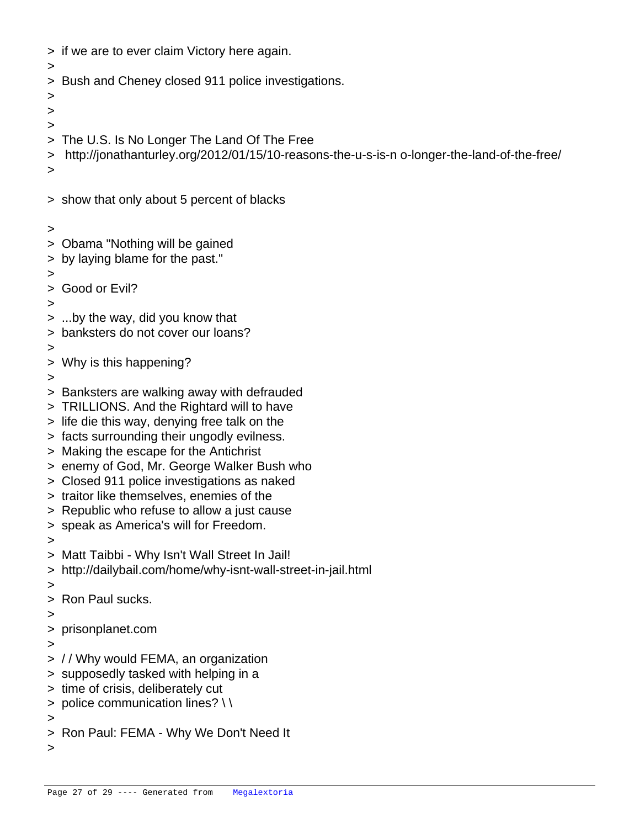- > if we are to ever claim Victory here again.
- >
- > Bush and Cheney closed 911 police investigations.
- >
- >
- >
- > The U.S. Is No Longer The Land Of The Free
- > http://jonathanturley.org/2012/01/15/10-reasons-the-u-s-is-n o-longer-the-land-of-the-free/
- >
- > show that only about 5 percent of blacks
- >
- > Obama "Nothing will be gained
- > by laying blame for the past."
- >
- > Good or Evil?
- >
- > ...by the way, did you know that
- > banksters do not cover our loans?
- >
- > Why is this happening?
- >
- > Banksters are walking away with defrauded
- > TRILLIONS. And the Rightard will to have
- > life die this way, denying free talk on the
- > facts surrounding their ungodly evilness.
- > Making the escape for the Antichrist
- > enemy of God, Mr. George Walker Bush who
- > Closed 911 police investigations as naked
- > traitor like themselves, enemies of the
- > Republic who refuse to allow a just cause
- > speak as America's will for Freedom.
- >
- > Matt Taibbi Why Isn't Wall Street In Jail!
- > http://dailybail.com/home/why-isnt-wall-street-in-jail.html
- >
- > Ron Paul sucks.
- >
- > prisonplanet.com
- >
- > / / Why would FEMA, an organization
- > supposedly tasked with helping in a
- > time of crisis, deliberately cut
- $>$  police communication lines?  $\setminus \setminus$
- >
- > Ron Paul: FEMA Why We Don't Need It

>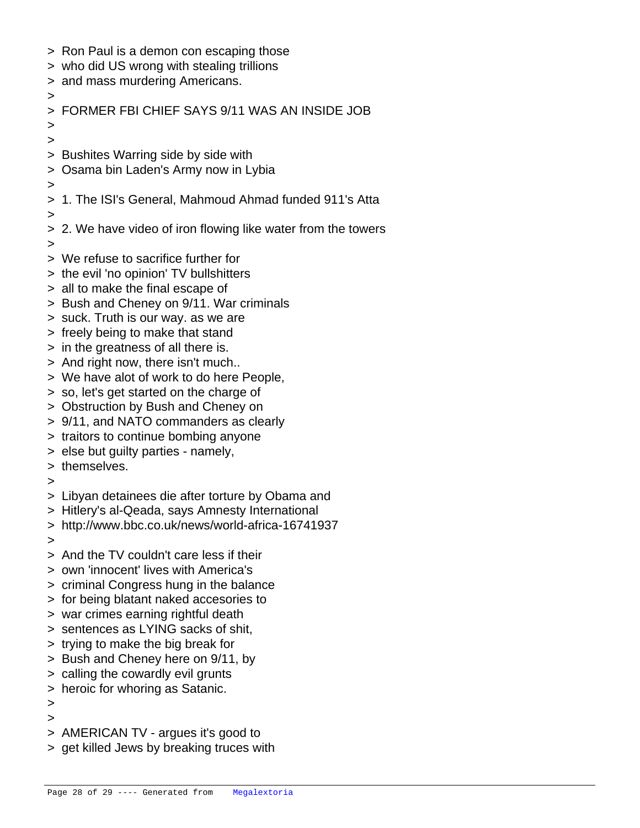- > Ron Paul is a demon con escaping those
- > who did US wrong with stealing trillions
- > and mass murdering Americans.
- >

> FORMER FBI CHIEF SAYS 9/11 WAS AN INSIDE JOB

- >
- >
- > Bushites Warring side by side with
- > Osama bin Laden's Army now in Lybia
- >
- > 1. The ISI's General, Mahmoud Ahmad funded 911's Atta
- >
- > 2. We have video of iron flowing like water from the towers
- >
- > We refuse to sacrifice further for
- > the evil 'no opinion' TV bullshitters
- > all to make the final escape of
- > Bush and Cheney on 9/11. War criminals
- > suck. Truth is our way. as we are
- > freely being to make that stand
- > in the greatness of all there is.
- > And right now, there isn't much..
- > We have alot of work to do here People,
- > so, let's get started on the charge of
- > Obstruction by Bush and Cheney on
- > 9/11, and NATO commanders as clearly
- > traitors to continue bombing anyone
- > else but guilty parties namely,
- > themselves.
- >
- > Libyan detainees die after torture by Obama and
- > Hitlery's al-Qeada, says Amnesty International
- > http://www.bbc.co.uk/news/world-africa-16741937
- >
- > And the TV couldn't care less if their
- > own 'innocent' lives with America's
- > criminal Congress hung in the balance
- > for being blatant naked accesories to
- > war crimes earning rightful death
- > sentences as LYING sacks of shit,
- > trying to make the big break for
- > Bush and Cheney here on 9/11, by
- > calling the cowardly evil grunts
- > heroic for whoring as Satanic.
- >
- >
- > AMERICAN TV argues it's good to
- > get killed Jews by breaking truces with